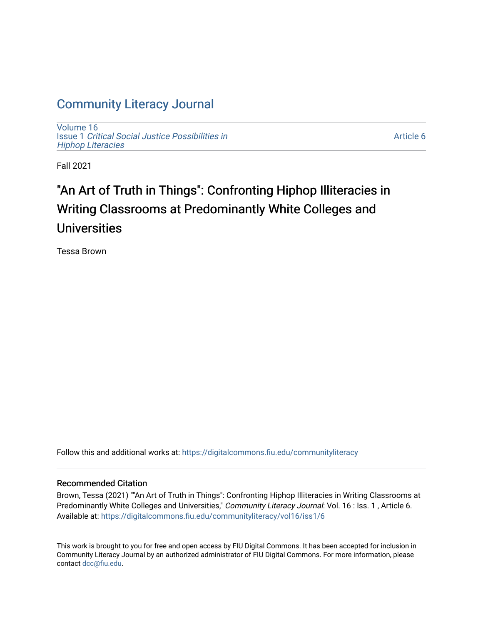## [Community Literacy Journal](https://digitalcommons.fiu.edu/communityliteracy)

[Volume 16](https://digitalcommons.fiu.edu/communityliteracy/vol16) Issue 1 [Critical Social Justice Possibilities in](https://digitalcommons.fiu.edu/communityliteracy/vol16/iss1) [Hiphop Literacies](https://digitalcommons.fiu.edu/communityliteracy/vol16/iss1)

[Article 6](https://digitalcommons.fiu.edu/communityliteracy/vol16/iss1/6) 

Fall 2021

# "An Art of Truth in Things": Confronting Hiphop Illiteracies in Writing Classrooms at Predominantly White Colleges and Universities

Tessa Brown

Follow this and additional works at: [https://digitalcommons.fiu.edu/communityliteracy](https://digitalcommons.fiu.edu/communityliteracy?utm_source=digitalcommons.fiu.edu%2Fcommunityliteracy%2Fvol16%2Fiss1%2F6&utm_medium=PDF&utm_campaign=PDFCoverPages)

#### Recommended Citation

Brown, Tessa (2021) ""An Art of Truth in Things": Confronting Hiphop Illiteracies in Writing Classrooms at Predominantly White Colleges and Universities," Community Literacy Journal: Vol. 16 : Iss. 1, Article 6. Available at: [https://digitalcommons.fiu.edu/communityliteracy/vol16/iss1/6](https://digitalcommons.fiu.edu/communityliteracy/vol16/iss1/6?utm_source=digitalcommons.fiu.edu%2Fcommunityliteracy%2Fvol16%2Fiss1%2F6&utm_medium=PDF&utm_campaign=PDFCoverPages) 

This work is brought to you for free and open access by FIU Digital Commons. It has been accepted for inclusion in Community Literacy Journal by an authorized administrator of FIU Digital Commons. For more information, please contact [dcc@fiu.edu](mailto:dcc@fiu.edu).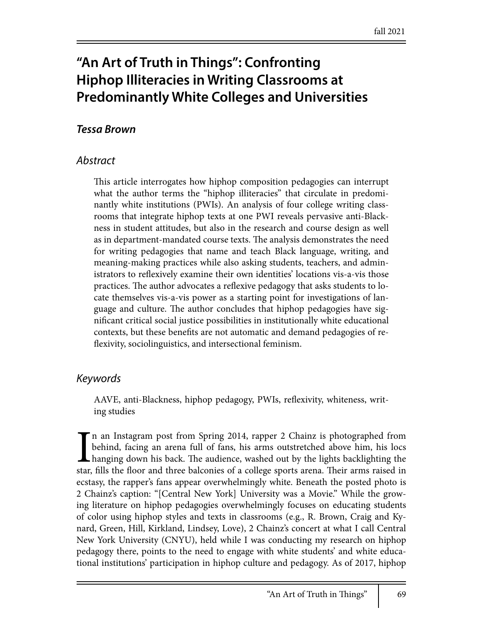# **"An Art of Truth in Things": Confronting Hiphop Illiteracies in Writing Classrooms at Predominantly White Colleges and Universities**

### *Tessa Brown*

#### *Abstract*

This article interrogates how hiphop composition pedagogies can interrupt what the author terms the "hiphop illiteracies" that circulate in predominantly white institutions (PWIs). An analysis of four college writing classrooms that integrate hiphop texts at one PWI reveals pervasive anti-Blackness in student attitudes, but also in the research and course design as well as in department-mandated course texts. The analysis demonstrates the need for writing pedagogies that name and teach Black language, writing, and meaning-making practices while also asking students, teachers, and administrators to reflexively examine their own identities' locations vis-a-vis those practices. The author advocates a reflexive pedagogy that asks students to locate themselves vis-a-vis power as a starting point for investigations of language and culture. The author concludes that hiphop pedagogies have significant critical social justice possibilities in institutionally white educational contexts, but these benefits are not automatic and demand pedagogies of reflexivity, sociolinguistics, and intersectional feminism.

#### *Keywords*

AAVE, anti-Blackness, hiphop pedagogy, PWIs, reflexivity, whiteness, writing studies

 $\prod_{\text{star,}}$ n an Instagram post from Spring 2014, rapper 2 Chainz is photographed from behind, facing an arena full of fans, his arms outstretched above him, his locs hanging down his back. The audience, washed out by the lights backlighting the star, fills the floor and three balconies of a college sports arena. Their arms raised in ecstasy, the rapper's fans appear overwhelmingly white. Beneath the posted photo is 2 Chainz's caption: "[Central New York] University was a Movie." While the growing literature on hiphop pedagogies overwhelmingly focuses on educating students of color using hiphop styles and texts in classrooms (e.g., R. Brown, Craig and Kynard, Green, Hill, Kirkland, Lindsey, Love), 2 Chainz's concert at what I call Central New York University (CNYU), held while I was conducting my research on hiphop pedagogy there, points to the need to engage with white students' and white educational institutions' participation in hiphop culture and pedagogy. As of 2017, hiphop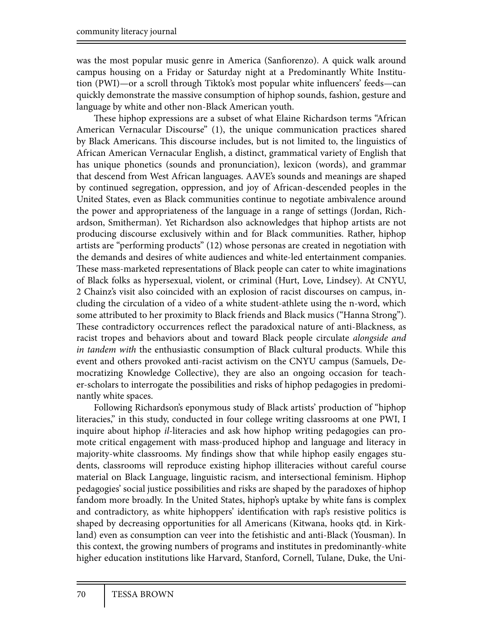was the most popular music genre in America (Sanfiorenzo). A quick walk around campus housing on a Friday or Saturday night at a Predominantly White Institution (PWI)-or a scroll through Tiktok's most popular white influencers' feeds-can quickly demonstrate the massive consumption of hiphop sounds, fashion, gesture and language by white and other non-Black American youth.

These hiphop expressions are a subset of what Elaine Richardson terms "African American Vernacular Discourse" (1), the unique communication practices shared by Black Americans. This discourse includes, but is not limited to, the linguistics of African American Vernacular English, a distinct, grammatical variety of English that has unique phonetics (sounds and pronunciation), lexicon (words), and grammar that descend from West African languages. AAVE's sounds and meanings are shaped by continued segregation, oppression, and joy of African-descended peoples in the United States, even as Black communities continue to negotiate ambivalence around the power and appropriateness of the language in a range of settings (Jordan, Richardson, Smitherman). Yet Richardson also acknowledges that hiphop artists are not producing discourse exclusively within and for Black communities. Rather, hiphop artists are "performing products" (12) whose personas are created in negotiation with the demands and desires of white audiences and white-led entertainment companies. These mass-marketed representations of Black people can cater to white imaginations of Black folks as hypersexual, violent, or criminal (Hurt, Love, Lindsey). At CNYU, 2 Chainz's visit also coincided with an explosion of racist discourses on campus, including the circulation of a video of a white student-athlete using the n-word, which some attributed to her proximity to Black friends and Black musics ("Hanna Strong"). These contradictory occurrences reflect the paradoxical nature of anti-Blackness, as racist tropes and behaviors about and toward Black people circulate *alongside and in tandem with* the enthusiastic consumption of Black cultural products. While this event and others provoked anti-racist activism on the CNYU campus (Samuels, Democratizing Knowledge Collective), they are also an ongoing occasion for teacher-scholars to interrogate the possibilities and risks of hiphop pedagogies in predominantly white spaces.

Following Richardson's eponymous study of Black artists' production of "hiphop literacies," in this study, conducted in four college writing classrooms at one PWI, I inquire about hiphop *il*-literacies and ask how hiphop writing pedagogies can promote critical engagement with mass-produced hiphop and language and literacy in majority-white classrooms. My findings show that while hiphop easily engages students, classrooms will reproduce existing hiphop illiteracies without careful course material on Black Language, linguistic racism, and intersectional feminism. Hiphop pedagogies' social justice possibilities and risks are shaped by the paradoxes of hiphop fandom more broadly. In the United States, hiphop's uptake by white fans is complex and contradictory, as white hiphoppers' identification with rap's resistive politics is shaped by decreasing opportunities for all Americans (Kitwana, hooks qtd. in Kirkland) even as consumption can veer into the fetishistic and anti-Black (Yousman). In this context, the growing numbers of programs and institutes in predominantly-white higher education institutions like Harvard, Stanford, Cornell, Tulane, Duke, the Uni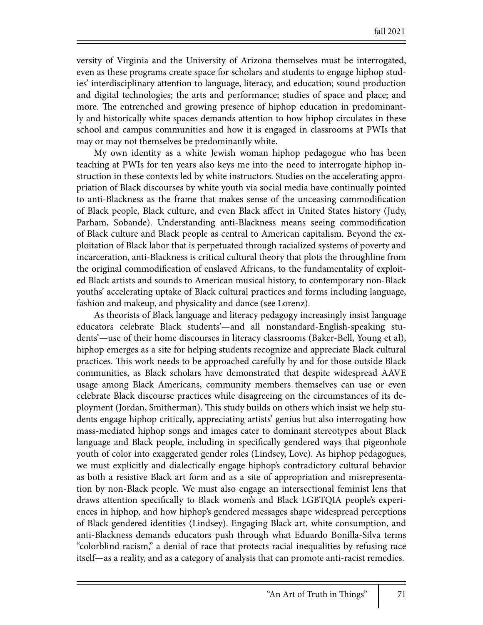versity of Virginia and the University of Arizona themselves must be interrogated, even as these programs create space for scholars and students to engage hiphop studies' interdisciplinary attention to language, literacy, and education; sound production and digital technologies; the arts and performance; studies of space and place; and more. The entrenched and growing presence of hiphop education in predominantly and historically white spaces demands attention to how hiphop circulates in these school and campus communities and how it is engaged in classrooms at PWIs that may or may not themselves be predominantly white.

My own identity as a white Jewish woman hiphop pedagogue who has been teaching at PWIs for ten years also keys me into the need to interrogate hiphop instruction in these contexts led by white instructors. Studies on the accelerating appropriation of Black discourses by white youth via social media have continually pointed to anti-Blackness as the frame that makes sense of the unceasing commodification of Black people, Black culture, and even Black affect in United States history (Judy, Parham, Sobande). Understanding anti-Blackness means seeing commodification of Black culture and Black people as central to American capitalism. Beyond the exploitation of Black labor that is perpetuated through racialized systems of poverty and incarceration, anti-Blackness is critical cultural theory that plots the throughline from the original commodification of enslaved Africans, to the fundamentality of exploited Black artists and sounds to American musical history, to contemporary non-Black youths' accelerating uptake of Black cultural practices and forms including language, fashion and makeup, and physicality and dance (see Lorenz).

As theorists of Black language and literacy pedagogy increasingly insist language educators celebrate Black students'—and all nonstandard-English-speaking students'—use of their home discourses in literacy classrooms (Baker-Bell, Young et al), hiphop emerges as a site for helping students recognize and appreciate Black cultural practices. This work needs to be approached carefully by and for those outside Black communities, as Black scholars have demonstrated that despite widespread AAVE usage among Black Americans, community members themselves can use or even celebrate Black discourse practices while disagreeing on the circumstances of its deployment (Jordan, Smitherman). This study builds on others which insist we help students engage hiphop critically, appreciating artists' genius but also interrogating how mass-mediated hiphop songs and images cater to dominant stereotypes about Black language and Black people, including in specifically gendered ways that pigeonhole youth of color into exaggerated gender roles (Lindsey, Love). As hiphop pedagogues, we must explicitly and dialectically engage hiphop's contradictory cultural behavior as both a resistive Black art form and as a site of appropriation and misrepresentation by non-Black people. We must also engage an intersectional feminist lens that draws attention specifically to Black women's and Black LGBTQIA people's experiences in hiphop, and how hiphop's gendered messages shape widespread perceptions of Black gendered identities (Lindsey). Engaging Black art, white consumption, and anti-Blackness demands educators push through what Eduardo Bonilla-Silva terms "colorblind racism," a denial of race that protects racial inequalities by refusing race itself—as a reality, and as a category of analysis that can promote anti-racist remedies.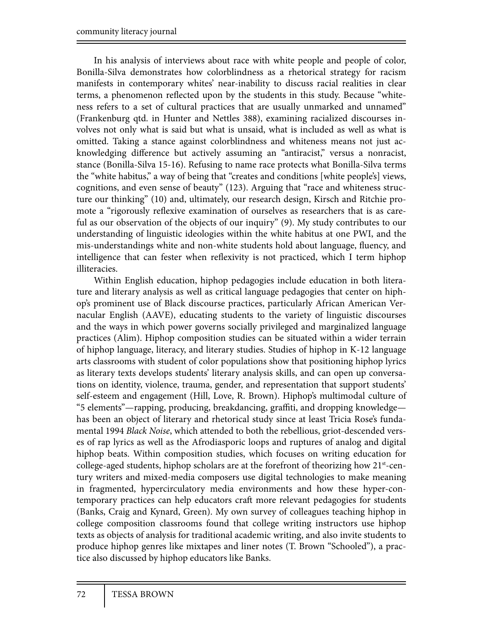In his analysis of interviews about race with white people and people of color, Bonilla-Silva demonstrates how colorblindness as a rhetorical strategy for racism manifests in contemporary whites' near-inability to discuss racial realities in clear terms, a phenomenon reflected upon by the students in this study. Because "whiteness refers to a set of cultural practices that are usually unmarked and unnamed" (Frankenburg qtd. in Hunter and Nettles 388), examining racialized discourses involves not only what is said but what is unsaid, what is included as well as what is omitted. Taking a stance against colorblindness and whiteness means not just acknowledging difference but actively assuming an "antiracist," versus a nonracist, stance (Bonilla-Silva 15-16). Refusing to name race protects what Bonilla-Silva terms the "white habitus," a way of being that "creates and conditions [white people's] views, cognitions, and even sense of beauty" (123). Arguing that "race and whiteness structure our thinking" (10) and, ultimately, our research design, Kirsch and Ritchie promote a "rigorously reflexive examination of ourselves as researchers that is as careful as our observation of the objects of our inquiry" (9). My study contributes to our understanding of linguistic ideologies within the white habitus at one PWI, and the mis-understandings white and non-white students hold about language, fluency, and intelligence that can fester when reflexivity is not practiced, which I term hiphop illiteracies.

Within English education, hiphop pedagogies include education in both literature and literary analysis as well as critical language pedagogies that center on hiphop's prominent use of Black discourse practices, particularly African American Vernacular English (AAVE), educating students to the variety of linguistic discourses and the ways in which power governs socially privileged and marginalized language practices (Alim). Hiphop composition studies can be situated within a wider terrain of hiphop language, literacy, and literary studies. Studies of hiphop in K-12 language arts classrooms with student of color populations show that positioning hiphop lyrics as literary texts develops students' literary analysis skills, and can open up conversations on identity, violence, trauma, gender, and representation that support students' self-esteem and engagement (Hill, Love, R. Brown). Hiphop's multimodal culture of "5 elements"—rapping, producing, breakdancing, graffiti, and dropping knowledge has been an object of literary and rhetorical study since at least Tricia Rose's fundamental 1994 *Black Noise*, which attended to both the rebellious, griot-descended verses of rap lyrics as well as the Afrodiasporic loops and ruptures of analog and digital hiphop beats. Within composition studies, which focuses on writing education for college-aged students, hiphop scholars are at the forefront of theorizing how  $21<sup>st</sup>$ -century writers and mixed-media composers use digital technologies to make meaning in fragmented, hypercirculatory media environments and how these hyper-contemporary practices can help educators craft more relevant pedagogies for students (Banks, Craig and Kynard, Green). My own survey of colleagues teaching hiphop in college composition classrooms found that college writing instructors use hiphop texts as objects of analysis for traditional academic writing, and also invite students to produce hiphop genres like mixtapes and liner notes (T. Brown "Schooled"), a practice also discussed by hiphop educators like Banks.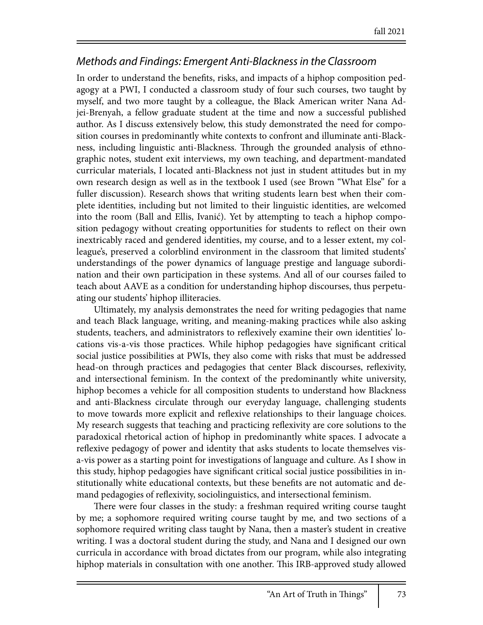### *Methods and Findings: Emergent Anti-Blackness in the Classroom*

In order to understand the benefits, risks, and impacts of a hiphop composition pedagogy at a PWI, I conducted a classroom study of four such courses, two taught by myself, and two more taught by a colleague, the Black American writer Nana Adjei-Brenyah, a fellow graduate student at the time and now a successful published author. As I discuss extensively below, this study demonstrated the need for composition courses in predominantly white contexts to confront and illuminate anti-Blackness, including linguistic anti-Blackness. Through the grounded analysis of ethnographic notes, student exit interviews, my own teaching, and department-mandated curricular materials, I located anti-Blackness not just in student attitudes but in my own research design as well as in the textbook I used (see Brown "What Else" for a fuller discussion). Research shows that writing students learn best when their complete identities, including but not limited to their linguistic identities, are welcomed into the room (Ball and Ellis, Ivanić). Yet by attempting to teach a hiphop composition pedagogy without creating opportunities for students to reflect on their own inextricably raced and gendered identities, my course, and to a lesser extent, my colleague's, preserved a colorblind environment in the classroom that limited students' understandings of the power dynamics of language prestige and language subordination and their own participation in these systems. And all of our courses failed to teach about AAVE as a condition for understanding hiphop discourses, thus perpetuating our students' hiphop illiteracies.

Ultimately, my analysis demonstrates the need for writing pedagogies that name and teach Black language, writing, and meaning-making practices while also asking students, teachers, and administrators to reflexively examine their own identities' locations vis-a-vis those practices. While hiphop pedagogies have significant critical social justice possibilities at PWIs, they also come with risks that must be addressed head-on through practices and pedagogies that center Black discourses, reflexivity, and intersectional feminism. In the context of the predominantly white university, hiphop becomes a vehicle for all composition students to understand how Blackness and anti-Blackness circulate through our everyday language, challenging students to move towards more explicit and reflexive relationships to their language choices. My research suggests that teaching and practicing reflexivity are core solutions to the paradoxical rhetorical action of hiphop in predominantly white spaces. I advocate a reflexive pedagogy of power and identity that asks students to locate themselves visa-vis power as a starting point for investigations of language and culture. As I show in this study, hiphop pedagogies have significant critical social justice possibilities in institutionally white educational contexts, but these benefits are not automatic and demand pedagogies of reflexivity, sociolinguistics, and intersectional feminism.

There were four classes in the study: a freshman required writing course taught by me; a sophomore required writing course taught by me, and two sections of a sophomore required writing class taught by Nana, then a master's student in creative writing. I was a doctoral student during the study, and Nana and I designed our own curricula in accordance with broad dictates from our program, while also integrating hiphop materials in consultation with one another. This IRB-approved study allowed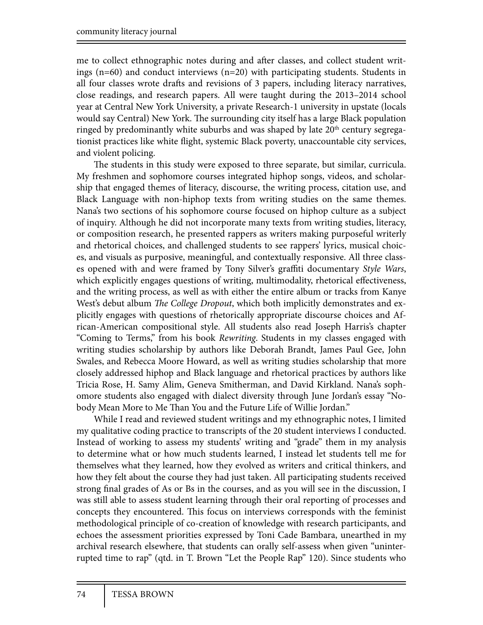me to collect ethnographic notes during and after classes, and collect student writings (n=60) and conduct interviews (n=20) with participating students. Students in all four classes wrote drafts and revisions of 3 papers, including literacy narratives, close readings, and research papers. All were taught during the 2013–2014 school year at Central New York University, a private Research-1 university in upstate (locals would say Central) New York. The surrounding city itself has a large Black population ringed by predominantly white suburbs and was shaped by late  $20<sup>th</sup>$  century segregationist practices like white flight, systemic Black poverty, unaccountable city services, and violent policing.

The students in this study were exposed to three separate, but similar, curricula. My freshmen and sophomore courses integrated hiphop songs, videos, and scholarship that engaged themes of literacy, discourse, the writing process, citation use, and Black Language with non-hiphop texts from writing studies on the same themes. Nana's two sections of his sophomore course focused on hiphop culture as a subject of inquiry. Although he did not incorporate many texts from writing studies, literacy, or composition research, he presented rappers as writers making purposeful writerly and rhetorical choices, and challenged students to see rappers' lyrics, musical choices, and visuals as purposive, meaningful, and contextually responsive. All three classes opened with and were framed by Tony Silver's graffiti documentary Style Wars, which explicitly engages questions of writing, multimodality, rhetorical effectiveness, and the writing process, as well as with either the entire album or tracks from Kanye West's debut album *The College Dropout*, which both implicitly demonstrates and explicitly engages with questions of rhetorically appropriate discourse choices and African-American compositional style. All students also read Joseph Harris's chapter "Coming to Terms," from his book *Rewriting*. Students in my classes engaged with writing studies scholarship by authors like Deborah Brandt, James Paul Gee, John Swales, and Rebecca Moore Howard, as well as writing studies scholarship that more closely addressed hiphop and Black language and rhetorical practices by authors like Tricia Rose, H. Samy Alim, Geneva Smitherman, and David Kirkland. Nana's sophomore students also engaged with dialect diversity through June Jordan's essay "Nobody Mean More to Me Than You and the Future Life of Willie Jordan."

While I read and reviewed student writings and my ethnographic notes, I limited my qualitative coding practice to transcripts of the 20 student interviews I conducted. Instead of working to assess my students' writing and "grade" them in my analysis to determine what or how much students learned, I instead let students tell me for themselves what they learned, how they evolved as writers and critical thinkers, and how they felt about the course they had just taken. All participating students received strong final grades of As or Bs in the courses, and as you will see in the discussion, I was still able to assess student learning through their oral reporting of processes and concepts they encountered. This focus on interviews corresponds with the feminist methodological principle of co-creation of knowledge with research participants, and echoes the assessment priorities expressed by Toni Cade Bambara, unearthed in my archival research elsewhere, that students can orally self-assess when given "uninterrupted time to rap" (qtd. in T. Brown "Let the People Rap" 120). Since students who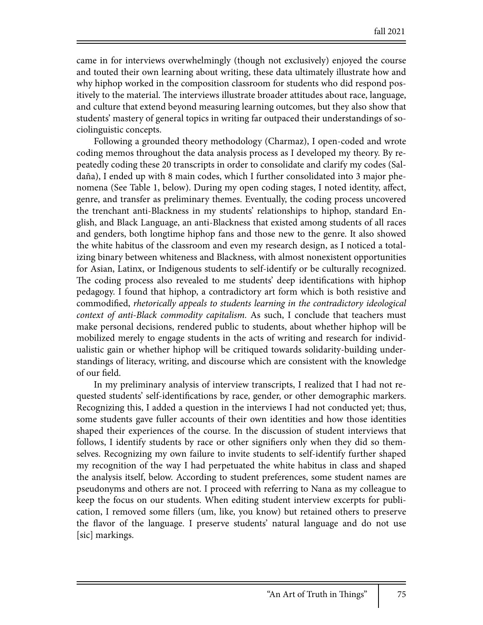came in for interviews overwhelmingly (though not exclusively) enjoyed the course and touted their own learning about writing, these data ultimately illustrate how and why hiphop worked in the composition classroom for students who did respond positively to the material. The interviews illustrate broader attitudes about race, language, and culture that extend beyond measuring learning outcomes, but they also show that students' mastery of general topics in writing far outpaced their understandings of sociolinguistic concepts.

Following a grounded theory methodology (Charmaz), I open-coded and wrote coding memos throughout the data analysis process as I developed my theory. By repeatedly coding these 20 transcripts in order to consolidate and clarify my codes (Saldaña), I ended up with 8 main codes, which I further consolidated into 3 major phenomena (See Table 1, below). During my open coding stages, I noted identity, affect, genre, and transfer as preliminary themes. Eventually, the coding process uncovered the trenchant anti-Blackness in my students' relationships to hiphop, standard English, and Black Language, an anti-Blackness that existed among students of all races and genders, both longtime hiphop fans and those new to the genre. It also showed the white habitus of the classroom and even my research design, as I noticed a totalizing binary between whiteness and Blackness, with almost nonexistent opportunities for Asian, Latinx, or Indigenous students to self-identify or be culturally recognized. The coding process also revealed to me students' deep identifications with hiphop pedagogy. I found that hiphop, a contradictory art form which is both resistive and commodified, *rhetorically appeals to students learning in the contradictory ideological context of anti-Black commodity capitalism*. As such, I conclude that teachers must make personal decisions, rendered public to students, about whether hiphop will be mobilized merely to engage students in the acts of writing and research for individualistic gain or whether hiphop will be critiqued towards solidarity-building understandings of literacy, writing, and discourse which are consistent with the knowledge of our field.

In my preliminary analysis of interview transcripts, I realized that I had not requested students' self-identifications by race, gender, or other demographic markers. Recognizing this, I added a question in the interviews I had not conducted yet; thus, some students gave fuller accounts of their own identities and how those identities shaped their experiences of the course. In the discussion of student interviews that follows, I identify students by race or other signifiers only when they did so themselves. Recognizing my own failure to invite students to self-identify further shaped my recognition of the way I had perpetuated the white habitus in class and shaped the analysis itself, below. According to student preferences, some student names are pseudonyms and others are not. I proceed with referring to Nana as my colleague to keep the focus on our students. When editing student interview excerpts for publication, I removed some #llers (um, like, you know) but retained others to preserve the "avor of the language. I preserve students' natural language and do not use [sic] markings.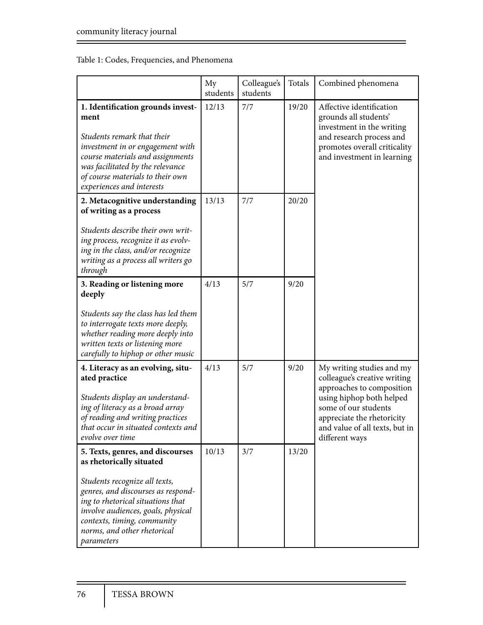#### Table 1: Codes, Frequencies, and Phenomena

|                                                                                                                                                                                                                                                                                            | My<br>students | Colleague's<br>students | Totals | Combined phenomena                                                                                                                                                                                                           |
|--------------------------------------------------------------------------------------------------------------------------------------------------------------------------------------------------------------------------------------------------------------------------------------------|----------------|-------------------------|--------|------------------------------------------------------------------------------------------------------------------------------------------------------------------------------------------------------------------------------|
| 1. Identification grounds invest-<br>ment<br>Students remark that their<br>investment in or engagement with<br>course materials and assignments<br>was facilitated by the relevance<br>of course materials to their own<br>experiences and interests                                       | 12/13          | 7/7                     | 19/20  | Affective identification<br>grounds all students'<br>investment in the writing<br>and research process and<br>promotes overall criticality<br>and investment in learning                                                     |
| 2. Metacognitive understanding<br>of writing as a process<br>Students describe their own writ-<br>ing process, recognize it as evolv-<br>ing in the class, and/or recognize<br>writing as a process all writers go<br>through                                                              | 13/13          | 7/7                     | 20/20  |                                                                                                                                                                                                                              |
| 3. Reading or listening more<br>deeply<br>Students say the class has led them<br>to interrogate texts more deeply,<br>whether reading more deeply into<br>written texts or listening more<br>carefully to hiphop or other music                                                            | 4/13           | 5/7                     | 9/20   |                                                                                                                                                                                                                              |
| 4. Literacy as an evolving, situ-<br>ated practice<br>Students display an understand-<br>ing of literacy as a broad array<br>of reading and writing practices<br>that occur in situated contexts and<br>evolve over time                                                                   | 4/13           | 5/7                     | 9/20   | My writing studies and my<br>colleague's creative writing<br>approaches to composition<br>using hiphop both helped<br>some of our students<br>appreciate the rhetoricity<br>and value of all texts, but in<br>different ways |
| 5. Texts, genres, and discourses<br>as rhetorically situated<br>Students recognize all texts,<br>genres, and discourses as respond-<br>ing to rhetorical situations that<br>involve audiences, goals, physical<br>contexts, timing, community<br>norms, and other rhetorical<br>parameters | 10/13          | 3/7                     | 13/20  |                                                                                                                                                                                                                              |

Ξ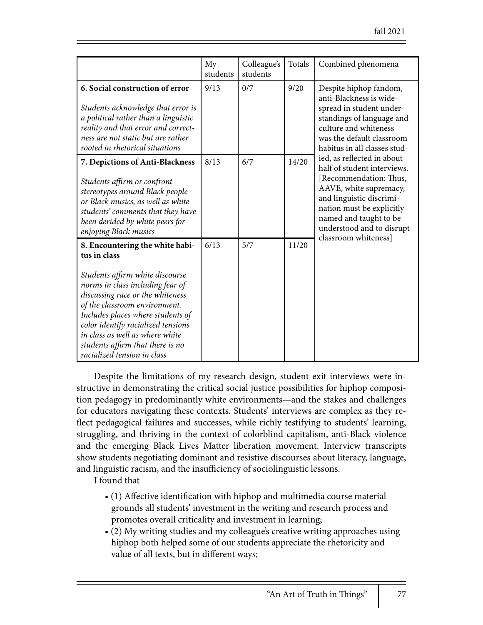|                                                                                                                                                                                                                                                                                                                                                                              | My<br>students | Colleague's<br>students | Totals | Combined phenomena                                                                                                                                                                                                                                                                                                                                                                                                                                        |
|------------------------------------------------------------------------------------------------------------------------------------------------------------------------------------------------------------------------------------------------------------------------------------------------------------------------------------------------------------------------------|----------------|-------------------------|--------|-----------------------------------------------------------------------------------------------------------------------------------------------------------------------------------------------------------------------------------------------------------------------------------------------------------------------------------------------------------------------------------------------------------------------------------------------------------|
| 6. Social construction of error<br>Students acknowledge that error is<br>a political rather than a linguistic<br>reality and that error and correct-<br>ness are not static but are rather<br>rooted in rhetorical situations                                                                                                                                                | 9/13           | 0/7                     | 9/20   | Despite hiphop fandom,<br>anti-Blackness is wide-<br>spread in student under-<br>standings of language and<br>culture and whiteness<br>was the default classroom<br>habitus in all classes stud-<br>ied, as reflected in about<br>half of student interviews.<br>[Recommendation: Thus,<br>AAVE, white supremacy,<br>and linguistic discrimi-<br>nation must be explicitly<br>named and taught to be<br>understood and to disrupt<br>classroom whiteness] |
| 7. Depictions of Anti-Blackness<br>Students affirm or confront<br>stereotypes around Black people<br>or Black musics, as well as white<br>students' comments that they have<br>been derided by white peers for<br>enjoying Black musics                                                                                                                                      | 8/13           | 6/7                     | 14/20  |                                                                                                                                                                                                                                                                                                                                                                                                                                                           |
| 8. Encountering the white habi-<br>tus in class<br>Students affirm white discourse<br>norms in class including fear of<br>discussing race or the whiteness<br>of the classroom environment.<br>Includes places where students of<br>color identify racialized tensions<br>in class as well as where white<br>students affirm that there is no<br>racialized tension in class | 6/13           | 5/7                     | 11/20  |                                                                                                                                                                                                                                                                                                                                                                                                                                                           |

Despite the limitations of my research design, student exit interviews were instructive in demonstrating the critical social justice possibilities for hiphop composition pedagogy in predominantly white environments—and the stakes and challenges for educators navigating these contexts. Students' interviews are complex as they re flect pedagogical failures and successes, while richly testifying to students' learning, struggling, and thriving in the context of colorblind capitalism, anti-Black violence and the emerging Black Lives Matter liberation movement. Interview transcripts show students negotiating dominant and resistive discourses about literacy, language, and linguistic racism, and the insufficiency of sociolinguistic lessons.

I found that

- (1) Affective identification with hiphop and multimedia course material grounds all students' investment in the writing and research process and promotes overall criticality and investment in learning;
- (2) My writing studies and my colleague's creative writing approaches using hiphop both helped some of our students appreciate the rhetoricity and value of all texts, but in different ways;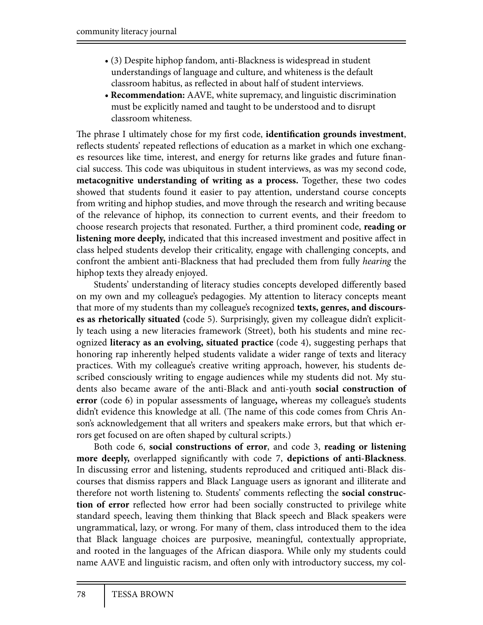- (3) Despite hiphop fandom, anti-Blackness is widespread in student understandings of language and culture, and whiteness is the default classroom habitus, as reflected in about half of student interviews.
- **Recommendation:** AAVE, white supremacy, and linguistic discrimination must be explicitly named and taught to be understood and to disrupt classroom whiteness.

The phrase I ultimately chose for my first code, **identification grounds investment**, reflects students' repeated reflections of education as a market in which one exchanges resources like time, interest, and energy for returns like grades and future financial success. This code was ubiquitous in student interviews, as was my second code, **metacognitive understanding of writing as a process.** Together, these two codes showed that students found it easier to pay attention, understand course concepts from writing and hiphop studies, and move through the research and writing because of the relevance of hiphop, its connection to current events, and their freedom to choose research projects that resonated. Further, a third prominent code, **reading or listening more deeply,** indicated that this increased investment and positive affect in class helped students develop their criticality, engage with challenging concepts, and confront the ambient anti-Blackness that had precluded them from fully *hearing* the hiphop texts they already enjoyed.

Students' understanding of literacy studies concepts developed differently based on my own and my colleague's pedagogies. My attention to literacy concepts meant that more of my students than my colleague's recognized **texts, genres, and discourses as rhetorically situated (**code 5). Surprisingly, given my colleague didn't explicitly teach using a new literacies framework (Street), both his students and mine recognized **literacy as an evolving, situated practice** (code 4), suggesting perhaps that honoring rap inherently helped students validate a wider range of texts and literacy practices. With my colleague's creative writing approach, however, his students described consciously writing to engage audiences while my students did not. My students also became aware of the anti-Black and anti-youth **social construction of error** (code 6) in popular assessments of language**,** whereas my colleague's students didn't evidence this knowledge at all. (The name of this code comes from Chris Anson's acknowledgement that all writers and speakers make errors, but that which errors get focused on are often shaped by cultural scripts.)

Both code 6, **social constructions of error**, and code 3, **reading or listening**  more deeply, overlapped significantly with code 7, depictions of anti-Blackness. In discussing error and listening, students reproduced and critiqued anti-Black discourses that dismiss rappers and Black Language users as ignorant and illiterate and therefore not worth listening to. Students' comments reflecting the **social construction of error** reflected how error had been socially constructed to privilege white standard speech, leaving them thinking that Black speech and Black speakers were ungrammatical, lazy, or wrong. For many of them, class introduced them to the idea that Black language choices are purposive, meaningful, contextually appropriate, and rooted in the languages of the African diaspora. While only my students could name AAVE and linguistic racism, and often only with introductory success, my col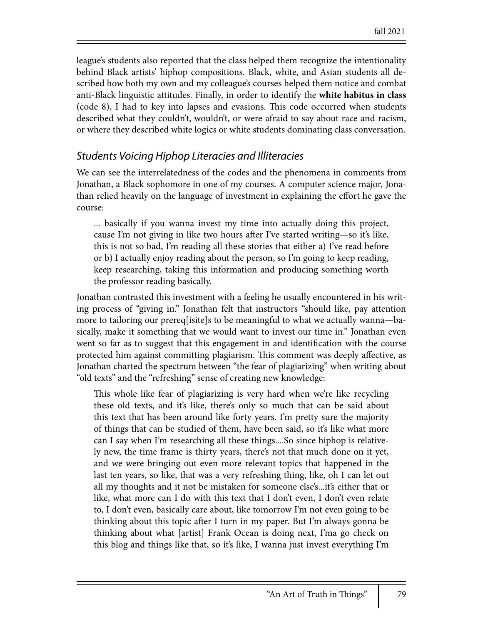league's students also reported that the class helped them recognize the intentionality behind Black artists' hiphop compositions. Black, white, and Asian students all described how both my own and my colleague's courses helped them notice and combat anti-Black linguistic attitudes. Finally, in order to identify the **white habitus in class**  (code 8), I had to key into lapses and evasions. This code occurred when students described what they couldn't, wouldn't, or were afraid to say about race and racism, or where they described white logics or white students dominating class conversation.

#### *Students Voicing Hiphop Literacies and Illiteracies*

We can see the interrelatedness of the codes and the phenomena in comments from Jonathan, a Black sophomore in one of my courses. A computer science major, Jonathan relied heavily on the language of investment in explaining the effort he gave the course:

... basically if you wanna invest my time into actually doing this project, cause I'm not giving in like two hours after I've started writing—so it's like, this is not so bad, I'm reading all these stories that either a) I've read before or b) I actually enjoy reading about the person, so I'm going to keep reading, keep researching, taking this information and producing something worth the professor reading basically.

Jonathan contrasted this investment with a feeling he usually encountered in his writing process of "giving in." Jonathan felt that instructors "should like, pay attention more to tailoring our prereq[isite]s to be meaningful to what we actually wanna—basically, make it something that we would want to invest our time in." Jonathan even went so far as to suggest that this engagement in and identification with the course protected him against committing plagiarism. This comment was deeply affective, as Jonathan charted the spectrum between "the fear of plagiarizing" when writing about "old texts" and the "refreshing" sense of creating new knowledge:

This whole like fear of plagiarizing is very hard when we're like recycling these old texts, and it's like, there's only so much that can be said about this text that has been around like forty years. I'm pretty sure the majority of things that can be studied of them, have been said, so it's like what more can I say when I'm researching all these things....So since hiphop is relatively new, the time frame is thirty years, there's not that much done on it yet, and we were bringing out even more relevant topics that happened in the last ten years, so like, that was a very refreshing thing, like, oh I can let out all my thoughts and it not be mistaken for someone else's...it's either that or like, what more can I do with this text that I don't even, I don't even relate to, I don't even, basically care about, like tomorrow I'm not even going to be thinking about this topic after I turn in my paper. But I'm always gonna be thinking about what [artist] Frank Ocean is doing next, I'ma go check on this blog and things like that, so it's like, I wanna just invest everything I'm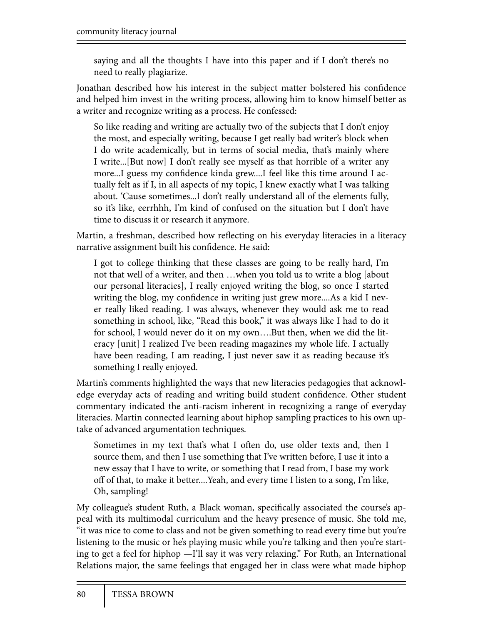saying and all the thoughts I have into this paper and if I don't there's no need to really plagiarize.

Jonathan described how his interest in the subject matter bolstered his confidence and helped him invest in the writing process, allowing him to know himself better as a writer and recognize writing as a process. He confessed:

So like reading and writing are actually two of the subjects that I don't enjoy the most, and especially writing, because I get really bad writer's block when I do write academically, but in terms of social media, that's mainly where I write...[But now] I don't really see myself as that horrible of a writer any more...I guess my confidence kinda grew....I feel like this time around I actually felt as if I, in all aspects of my topic, I knew exactly what I was talking about. 'Cause sometimes...I don't really understand all of the elements fully, so it's like, eerrhhh, I'm kind of confused on the situation but I don't have time to discuss it or research it anymore.

Martin, a freshman, described how reflecting on his everyday literacies in a literacy narrative assignment built his confidence. He said:

I got to college thinking that these classes are going to be really hard, I'm not that well of a writer, and then …when you told us to write a blog [about our personal literacies], I really enjoyed writing the blog, so once I started writing the blog, my confidence in writing just grew more....As a kid I never really liked reading. I was always, whenever they would ask me to read something in school, like, "Read this book," it was always like I had to do it for school, I would never do it on my own….But then, when we did the literacy [unit] I realized I've been reading magazines my whole life. I actually have been reading, I am reading, I just never saw it as reading because it's something I really enjoyed.

Martin's comments highlighted the ways that new literacies pedagogies that acknowledge everyday acts of reading and writing build student confidence. Other student commentary indicated the anti-racism inherent in recognizing a range of everyday literacies. Martin connected learning about hiphop sampling practices to his own uptake of advanced argumentation techniques.

Sometimes in my text that's what I often do, use older texts and, then I source them, and then I use something that I've written before, I use it into a new essay that I have to write, or something that I read from, I base my work off of that, to make it better....Yeah, and every time I listen to a song, I'm like, Oh, sampling!

My colleague's student Ruth, a Black woman, specifically associated the course's appeal with its multimodal curriculum and the heavy presence of music. She told me, "it was nice to come to class and not be given something to read every time but you're listening to the music or he's playing music while you're talking and then you're starting to get a feel for hiphop —I'll say it was very relaxing." For Ruth, an International Relations major, the same feelings that engaged her in class were what made hiphop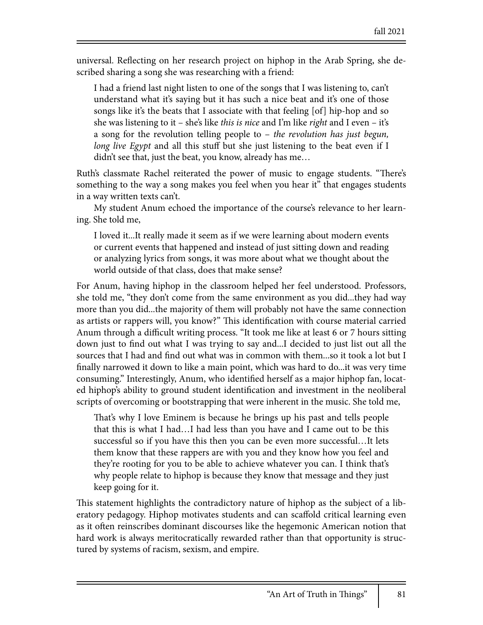universal. Reflecting on her research project on hiphop in the Arab Spring, she described sharing a song she was researching with a friend:

I had a friend last night listen to one of the songs that I was listening to, can't understand what it's saying but it has such a nice beat and it's one of those songs like it's the beats that I associate with that feeling [of] hip-hop and so she was listening to it – she's like *this is nice* and I'm like *right* and I even – it's a song for the revolution telling people to – *the revolution has just begun, long live Egypt* and all this stuff but she just listening to the beat even if I didn't see that, just the beat, you know, already has me…

Ruth's classmate Rachel reiterated the power of music to engage students. "There's something to the way a song makes you feel when you hear it" that engages students in a way written texts can't.

My student Anum echoed the importance of the course's relevance to her learning. She told me,

I loved it...It really made it seem as if we were learning about modern events or current events that happened and instead of just sitting down and reading or analyzing lyrics from songs, it was more about what we thought about the world outside of that class, does that make sense?

For Anum, having hiphop in the classroom helped her feel understood. Professors, she told me, "they don't come from the same environment as you did...they had way more than you did...the majority of them will probably not have the same connection as artists or rappers will, you know?" This identification with course material carried Anum through a difficult writing process. "It took me like at least 6 or 7 hours sitting down just to find out what I was trying to say and...I decided to just list out all the sources that I had and find out what was in common with them...so it took a lot but I finally narrowed it down to like a main point, which was hard to do...it was very time consuming." Interestingly, Anum, who identified herself as a major hiphop fan, located hiphop's ability to ground student identification and investment in the neoliberal scripts of overcoming or bootstrapping that were inherent in the music. She told me,

That's why I love Eminem is because he brings up his past and tells people that this is what I had…I had less than you have and I came out to be this successful so if you have this then you can be even more successful…It lets them know that these rappers are with you and they know how you feel and they're rooting for you to be able to achieve whatever you can. I think that's why people relate to hiphop is because they know that message and they just keep going for it.

This statement highlights the contradictory nature of hiphop as the subject of a liberatory pedagogy. Hiphop motivates students and can scaffold critical learning even as it often reinscribes dominant discourses like the hegemonic American notion that hard work is always meritocratically rewarded rather than that opportunity is structured by systems of racism, sexism, and empire.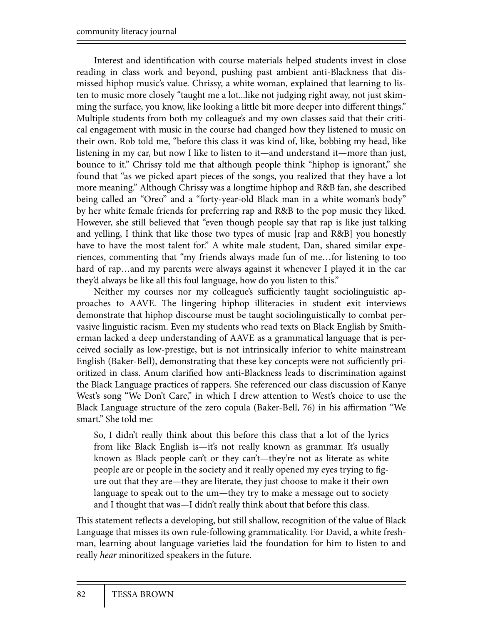Interest and identification with course materials helped students invest in close reading in class work and beyond, pushing past ambient anti-Blackness that dismissed hiphop music's value. Chrissy, a white woman, explained that learning to listen to music more closely "taught me a lot...like not judging right away, not just skimming the surface, you know, like looking a little bit more deeper into different things." Multiple students from both my colleague's and my own classes said that their critical engagement with music in the course had changed how they listened to music on their own. Rob told me, "before this class it was kind of, like, bobbing my head, like listening in my car, but now I like to listen to it—and understand it—more than just, bounce to it." Chrissy told me that although people think "hiphop is ignorant," she found that "as we picked apart pieces of the songs, you realized that they have a lot more meaning." Although Chrissy was a longtime hiphop and R&B fan, she described being called an "Oreo" and a "forty-year-old Black man in a white woman's body" by her white female friends for preferring rap and R&B to the pop music they liked. However, she still believed that "even though people say that rap is like just talking and yelling, I think that like those two types of music [rap and R&B] you honestly have to have the most talent for." A white male student, Dan, shared similar experiences, commenting that "my friends always made fun of me…for listening to too hard of rap...and my parents were always against it whenever I played it in the car they'd always be like all this foul language, how do you listen to this."

Neither my courses nor my colleague's sufficiently taught sociolinguistic approaches to AAVE. The lingering hiphop illiteracies in student exit interviews demonstrate that hiphop discourse must be taught sociolinguistically to combat pervasive linguistic racism. Even my students who read texts on Black English by Smitherman lacked a deep understanding of AAVE as a grammatical language that is perceived socially as low-prestige, but is not intrinsically inferior to white mainstream English (Baker-Bell), demonstrating that these key concepts were not sufficiently prioritized in class. Anum clarified how anti-Blackness leads to discrimination against the Black Language practices of rappers. She referenced our class discussion of Kanye West's song "We Don't Care," in which I drew attention to West's choice to use the Black Language structure of the zero copula (Baker-Bell, 76) in his affirmation "We smart." She told me:

So, I didn't really think about this before this class that a lot of the lyrics from like Black English is—it's not really known as grammar. It's usually known as Black people can't or they can't—they're not as literate as white people are or people in the society and it really opened my eyes trying to figure out that they are—they are literate, they just choose to make it their own language to speak out to the um—they try to make a message out to society and I thought that was—I didn't really think about that before this class.

This statement reflects a developing, but still shallow, recognition of the value of Black Language that misses its own rule-following grammaticality. For David, a white freshman, learning about language varieties laid the foundation for him to listen to and really *hear* minoritized speakers in the future.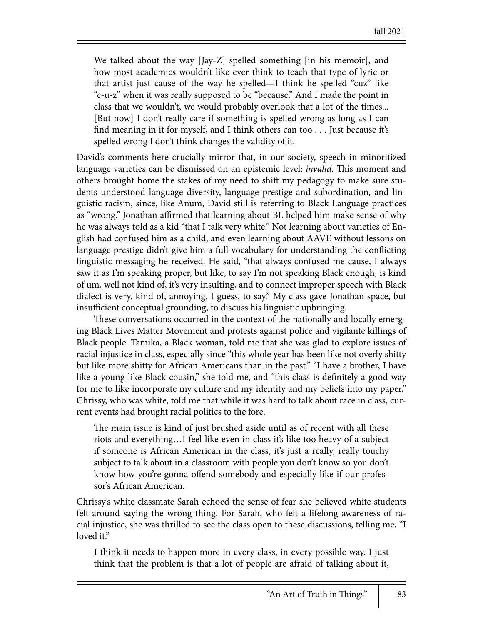We talked about the way [Jay-Z] spelled something [in his memoir], and how most academics wouldn't like ever think to teach that type of lyric or that artist just cause of the way he spelled—I think he spelled "cuz" like "c-u-z" when it was really supposed to be "because." And I made the point in class that we wouldn't, we would probably overlook that a lot of the times... [But now] I don't really care if something is spelled wrong as long as I can find meaning in it for myself, and I think others can too  $\dots$  Just because it's spelled wrong I don't think changes the validity of it.

David's comments here crucially mirror that, in our society, speech in minoritized language varieties can be dismissed on an epistemic level: *invalid*. This moment and others brought home the stakes of my need to shift my pedagogy to make sure students understood language diversity, language prestige and subordination, and linguistic racism, since, like Anum, David still is referring to Black Language practices as "wrong." Jonathan affirmed that learning about BL helped him make sense of why he was always told as a kid "that I talk very white." Not learning about varieties of English had confused him as a child, and even learning about AAVE without lessons on language prestige didn't give him a full vocabulary for understanding the conflicting linguistic messaging he received. He said, "that always confused me cause, I always saw it as I'm speaking proper, but like, to say I'm not speaking Black enough, is kind of um, well not kind of, it's very insulting, and to connect improper speech with Black dialect is very, kind of, annoying, I guess, to say." My class gave Jonathan space, but insufficient conceptual grounding, to discuss his linguistic upbringing.

These conversations occurred in the context of the nationally and locally emerging Black Lives Matter Movement and protests against police and vigilante killings of Black people. Tamika, a Black woman, told me that she was glad to explore issues of racial injustice in class, especially since "this whole year has been like not overly shitty but like more shitty for African Americans than in the past." "I have a brother, I have like a young like Black cousin," she told me, and "this class is definitely a good way for me to like incorporate my culture and my identity and my beliefs into my paper." Chrissy, who was white, told me that while it was hard to talk about race in class, current events had brought racial politics to the fore.

The main issue is kind of just brushed aside until as of recent with all these riots and everything…I feel like even in class it's like too heavy of a subject if someone is African American in the class, it's just a really, really touchy subject to talk about in a classroom with people you don't know so you don't know how you're gonna offend somebody and especially like if our professor's African American.

Chrissy's white classmate Sarah echoed the sense of fear she believed white students felt around saying the wrong thing. For Sarah, who felt a lifelong awareness of racial injustice, she was thrilled to see the class open to these discussions, telling me, "I loved it."

I think it needs to happen more in every class, in every possible way. I just think that the problem is that a lot of people are afraid of talking about it,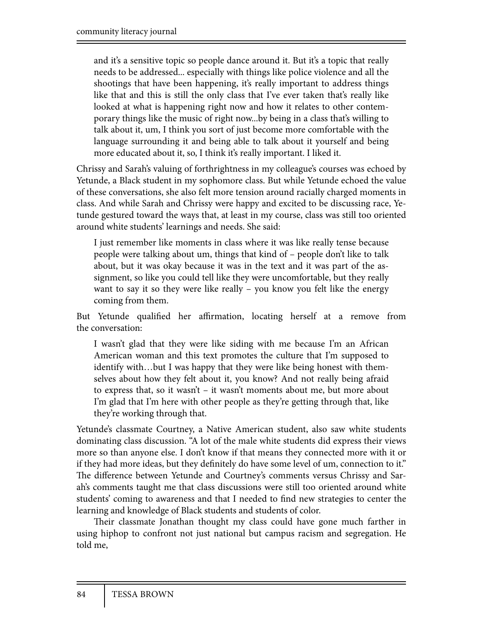and it's a sensitive topic so people dance around it. But it's a topic that really needs to be addressed... especially with things like police violence and all the shootings that have been happening, it's really important to address things like that and this is still the only class that I've ever taken that's really like looked at what is happening right now and how it relates to other contemporary things like the music of right now...by being in a class that's willing to talk about it, um, I think you sort of just become more comfortable with the language surrounding it and being able to talk about it yourself and being more educated about it, so, I think it's really important. I liked it.

Chrissy and Sarah's valuing of forthrightness in my colleague's courses was echoed by Yetunde, a Black student in my sophomore class. But while Yetunde echoed the value of these conversations, she also felt more tension around racially charged moments in class. And while Sarah and Chrissy were happy and excited to be discussing race, Yetunde gestured toward the ways that, at least in my course, class was still too oriented around white students' learnings and needs. She said:

I just remember like moments in class where it was like really tense because people were talking about um, things that kind of – people don't like to talk about, but it was okay because it was in the text and it was part of the assignment, so like you could tell like they were uncomfortable, but they really want to say it so they were like really – you know you felt like the energy coming from them.

But Yetunde qualified her affirmation, locating herself at a remove from the conversation:

I wasn't glad that they were like siding with me because I'm an African American woman and this text promotes the culture that I'm supposed to identify with…but I was happy that they were like being honest with themselves about how they felt about it, you know? And not really being afraid to express that, so it wasn't – it wasn't moments about me, but more about I'm glad that I'm here with other people as they're getting through that, like they're working through that.

Yetunde's classmate Courtney, a Native American student, also saw white students dominating class discussion. "A lot of the male white students did express their views more so than anyone else. I don't know if that means they connected more with it or if they had more ideas, but they definitely do have some level of um, connection to it." The difference between Yetunde and Courtney's comments versus Chrissy and Sarah's comments taught me that class discussions were still too oriented around white students' coming to awareness and that I needed to find new strategies to center the learning and knowledge of Black students and students of color.

Their classmate Jonathan thought my class could have gone much farther in using hiphop to confront not just national but campus racism and segregation. He told me,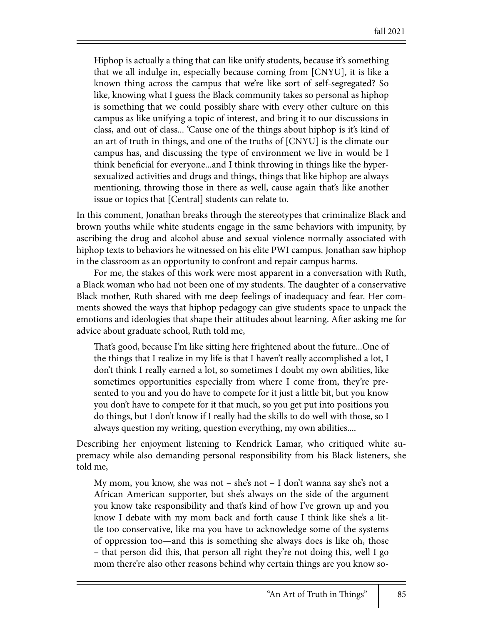Hiphop is actually a thing that can like unify students, because it's something that we all indulge in, especially because coming from [CNYU], it is like a known thing across the campus that we're like sort of self-segregated? So like, knowing what I guess the Black community takes so personal as hiphop is something that we could possibly share with every other culture on this campus as like unifying a topic of interest, and bring it to our discussions in class, and out of class... 'Cause one of the things about hiphop is it's kind of an art of truth in things, and one of the truths of [CNYU] is the climate our campus has, and discussing the type of environment we live in would be I think beneficial for everyone...and I think throwing in things like the hypersexualized activities and drugs and things, things that like hiphop are always mentioning, throwing those in there as well, cause again that's like another issue or topics that [Central] students can relate to.

In this comment, Jonathan breaks through the stereotypes that criminalize Black and brown youths while white students engage in the same behaviors with impunity, by ascribing the drug and alcohol abuse and sexual violence normally associated with hiphop texts to behaviors he witnessed on his elite PWI campus. Jonathan saw hiphop in the classroom as an opportunity to confront and repair campus harms.

For me, the stakes of this work were most apparent in a conversation with Ruth, a Black woman who had not been one of my students. The daughter of a conservative Black mother, Ruth shared with me deep feelings of inadequacy and fear. Her comments showed the ways that hiphop pedagogy can give students space to unpack the emotions and ideologies that shape their attitudes about learning. After asking me for advice about graduate school, Ruth told me,

That's good, because I'm like sitting here frightened about the future...One of the things that I realize in my life is that I haven't really accomplished a lot, I don't think I really earned a lot, so sometimes I doubt my own abilities, like sometimes opportunities especially from where I come from, they're presented to you and you do have to compete for it just a little bit, but you know you don't have to compete for it that much, so you get put into positions you do things, but I don't know if I really had the skills to do well with those, so I always question my writing, question everything, my own abilities....

Describing her enjoyment listening to Kendrick Lamar, who critiqued white supremacy while also demanding personal responsibility from his Black listeners, she told me,

My mom, you know, she was not – she's not – I don't wanna say she's not a African American supporter, but she's always on the side of the argument you know take responsibility and that's kind of how I've grown up and you know I debate with my mom back and forth cause I think like she's a little too conservative, like ma you have to acknowledge some of the systems of oppression too—and this is something she always does is like oh, those – that person did this, that person all right they're not doing this, well I go mom there're also other reasons behind why certain things are you know so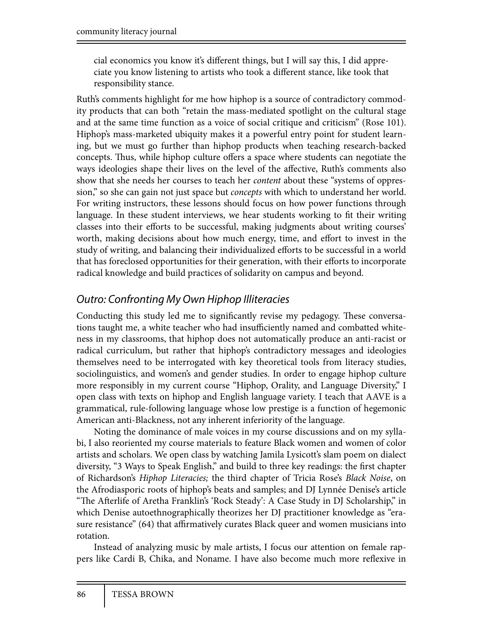cial economics you know it's different things, but I will say this, I did appreciate you know listening to artists who took a different stance, like took that responsibility stance.

Ruth's comments highlight for me how hiphop is a source of contradictory commodity products that can both "retain the mass-mediated spotlight on the cultural stage and at the same time function as a voice of social critique and criticism" (Rose 101). Hiphop's mass-marketed ubiquity makes it a powerful entry point for student learning, but we must go further than hiphop products when teaching research-backed concepts. Thus, while hiphop culture offers a space where students can negotiate the ways ideologies shape their lives on the level of the affective, Ruth's comments also show that she needs her courses to teach her *content* about these "systems of oppression," so she can gain not just space but *concepts* with which to understand her world. For writing instructors, these lessons should focus on how power functions through language. In these student interviews, we hear students working to fit their writing classes into their efforts to be successful, making judgments about writing courses' worth, making decisions about how much energy, time, and effort to invest in the study of writing, and balancing their individualized efforts to be successful in a world that has foreclosed opportunities for their generation, with their efforts to incorporate radical knowledge and build practices of solidarity on campus and beyond.

### *Outro: Confronting My Own Hiphop Illiteracies*

Conducting this study led me to significantly revise my pedagogy. These conversations taught me, a white teacher who had insufficiently named and combatted whiteness in my classrooms, that hiphop does not automatically produce an anti-racist or radical curriculum, but rather that hiphop's contradictory messages and ideologies themselves need to be interrogated with key theoretical tools from literacy studies, sociolinguistics, and women's and gender studies. In order to engage hiphop culture more responsibly in my current course "Hiphop, Orality, and Language Diversity," I open class with texts on hiphop and English language variety. I teach that AAVE is a grammatical, rule-following language whose low prestige is a function of hegemonic American anti-Blackness, not any inherent inferiority of the language.

Noting the dominance of male voices in my course discussions and on my syllabi, I also reoriented my course materials to feature Black women and women of color artists and scholars. We open class by watching Jamila Lysicott's slam poem on dialect diversity, "3 Ways to Speak English," and build to three key readings: the first chapter of Richardson's *Hiphop Literacies;* the third chapter of Tricia Rose's *Black Noise*, on the Afrodiasporic roots of hiphop's beats and samples; and DJ Lynnée Denise's article "The Afterlife of Aretha Franklin's 'Rock Steady': A Case Study in DJ Scholarship," in which Denise autoethnographically theorizes her DJ practitioner knowledge as "erasure resistance" (64) that affirmatively curates Black queer and women musicians into rotation.

Instead of analyzing music by male artists, I focus our attention on female rappers like Cardi B, Chika, and Noname. I have also become much more reflexive in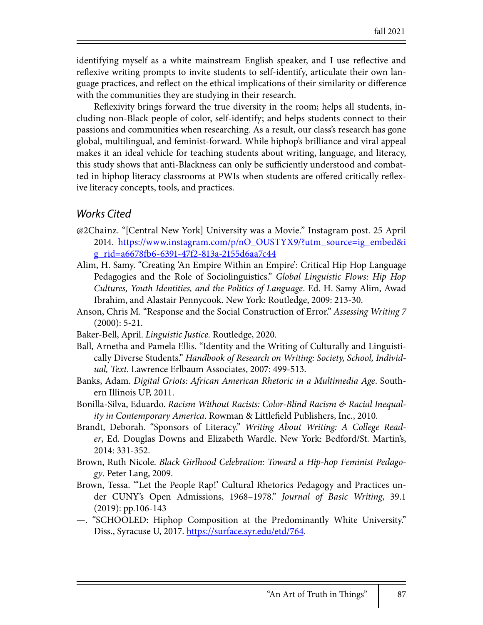identifying myself as a white mainstream English speaker, and I use reflective and reflexive writing prompts to invite students to self-identify, articulate their own language practices, and reflect on the ethical implications of their similarity or difference with the communities they are studying in their research.

Reflexivity brings forward the true diversity in the room; helps all students, including non-Black people of color, self-identify; and helps students connect to their passions and communities when researching. As a result, our class's research has gone global, multilingual, and feminist-forward. While hiphop's brilliance and viral appeal makes it an ideal vehicle for teaching students about writing, language, and literacy, this study shows that anti-Blackness can only be sufficiently understood and combatted in hiphop literacy classrooms at PWIs when students are offered critically reflexive literacy concepts, tools, and practices.

#### *Works Cited*

- @2Chainz. "[Central New York] University was a Movie." Instagram post. 25 April 2014. https://www.instagram.com/p/nO\_OUSTYX9/?utm\_source=ig\_embed&i <u>g\_rid=a6678fb6-6391-47f2-813a-2155d6aa7c44</u>
- Alim, H. Samy. "Creating 'An Empire Within an Empire': Critical Hip Hop Language Pedagogies and the Role of Sociolinguistics." *Global Linguistic Flows: Hip Hop Cultures, Youth Identities, and the Politics of Language*. Ed. H. Samy Alim, Awad Ibrahim, and Alastair Pennycook. New York: Routledge, 2009: 213-30.
- Anson, Chris M. "Response and the Social Construction of Error." *Assessing Writing 7* (2000): 5-21.
- Baker-Bell, April. *Linguistic Justice.* Routledge, 2020.
- Ball, Arnetha and Pamela Ellis. "Identity and the Writing of Culturally and Linguistically Diverse Students." *Handbook of Research on Writing: Society, School, Individual, Text*. Lawrence Erlbaum Associates, 2007: 499-513.
- Banks, Adam. *Digital Griots: African American Rhetoric in a Multimedia Age*. Southern Illinois UP, 2011.
- Bonilla-Silva, Eduardo. *Racism Without Racists: Color-Blind Racism & Racial Inequality in Contemporary America*. Rowman & Littlefield Publishers, Inc., 2010.
- Brandt, Deborah. "Sponsors of Literacy." *Writing About Writing: A College Reader*, Ed. Douglas Downs and Elizabeth Wardle. New York: Bedford/St. Martin's, 2014: 331-352.
- Brown, Ruth Nicole. *Black Girlhood Celebration: Toward a Hip-hop Feminist Pedagogy*. Peter Lang, 2009.
- Brown, Tessa. "'Let the People Rap!' Cultural Rhetorics Pedagogy and Practices under CUNY's Open Admissions, 1968–1978." *Journal of Basic Writing*, 39.1 (2019): pp.106-143
- —. "SCHOOLED: Hiphop Composition at the Predominantly White University." Diss., Syracuse U, 2017. https://surface.syr.edu/etd/764.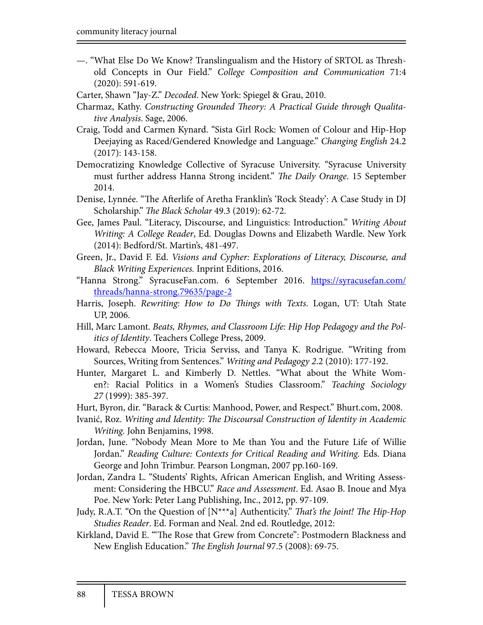- "What Else Do We Know? Translingualism and the History of SRTOL as Threshold Concepts in Our Field." *College Composition and Communication* 71:4 (2020): 591-619.

Carter, Shawn "Jay-Z." *Decoded*. New York: Spiegel & Grau, 2010.

Charmaz, Kathy. *Constructing Grounded* !*eory: A Practical Guide through Qualitative Analysis*. Sage, 2006.

- Craig, Todd and Carmen Kynard. "Sista Girl Rock: Women of Colour and Hip-Hop Deejaying as Raced/Gendered Knowledge and Language." *Changing English* 24.2 (2017): 143-158.
- Democratizing Knowledge Collective of Syracuse University. "Syracuse University must further address Hanna Strong incident." *The Daily Orange*. 15 September 2014.
- Denise, Lynnée. "The Afterlife of Aretha Franklin's 'Rock Steady': A Case Study in DJ Scholarship." *The Black Scholar* 49.3 (2019): 62-72.
- Gee, James Paul. "Literacy, Discourse, and Linguistics: Introduction." *Writing About Writing: A College Reader*, Ed. Douglas Downs and Elizabeth Wardle. New York (2014): Bedford/St. Martin's, 481-497.
- Green, Jr., David F. Ed. *Visions and Cypher: Explorations of Literacy, Discourse, and Black Writing Experiences.* Inprint Editions, 2016.
- "Hanna Strong." SyracuseFan.com. 6 September 2016. https://syracusefan.com/ threads/hanna-strong.79635/page-2
- Harris, Joseph. *Rewriting: How to Do* !*ings with Texts*. Logan, UT: Utah State UP, 2006.
- Hill, Marc Lamont. *Beats, Rhymes, and Classroom Life: Hip Hop Pedagogy and the Politics of Identity*. Teachers College Press, 2009.
- Howard, Rebecca Moore, Tricia Serviss, and Tanya K. Rodrigue. "Writing from Sources, Writing from Sentences." *Writing and Pedagogy 2*.2 (2010): 177-192.
- Hunter, Margaret L. and Kimberly D. Nettles. "What about the White Women?: Racial Politics in a Women's Studies Classroom." *Teaching Sociology 27* (1999): 385-397.
- Hurt, Byron, dir. "Barack & Curtis: Manhood, Power, and Respect." Bhurt.com, 2008.
- Ivanić, Roz. *Writing and Identity:* !*e Discoursal Construction of Identity in Academic Writing.* John Benjamins, 1998.
- Jordan, June. "Nobody Mean More to Me than You and the Future Life of Willie Jordan." *Reading Culture: Contexts for Critical Reading and Writing. Eds. Diana* George and John Trimbur. Pearson Longman, 2007 pp.160-169.
- Jordan, Zandra L. "Students' Rights, African American English, and Writing Assessment: Considering the HBCU." *Race and Assessment*. Ed. Asao B. Inoue and Mya Poe. New York: Peter Lang Publishing, Inc., 2012, pp. 97-109.
- Judy, R.A.T. "On the Question of [N<sup>\*\*\*</sup>a] Authenticity." *That's the Joint! The Hip-Hop Studies Reader*. Ed. Forman and Neal. 2nd ed. Routledge, 2012:
- Kirkland, David E. ""The Rose that Grew from Concrete": Postmodern Blackness and New English Education." *The English Journal* 97.5 (2008): 69-75.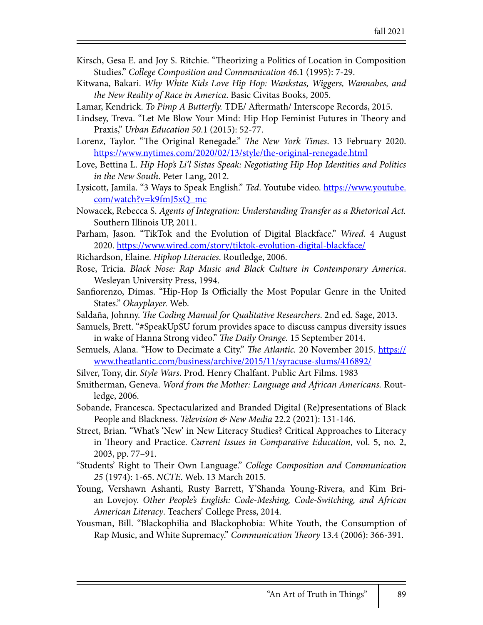- Kirsch, Gesa E. and Joy S. Ritchie. "Theorizing a Politics of Location in Composition Studies." *College Composition and Communication 46*.1 (1995): 7-29.
- Kitwana, Bakari. *Why White Kids Love Hip Hop: Wankstas, Wiggers, Wannabes, and the New Reality of Race in America*. Basic Civitas Books, 2005.
- Lamar, Kendrick. *To Pimp A Butterfly*. TDE/ Aftermath/ Interscope Records, 2015.
- Lindsey, Treva. "Let Me Blow Your Mind: Hip Hop Feminist Futures in Theory and Praxis," *Urban Education 50*.1 (2015): 52-77.
- Lorenz, Taylor. "The Original Renegade." *The New York Times*. 13 February 2020. https://www.nytimes.com/2020/02/13/style/the-original-renegade.html
- Love, Bettina L. *Hip Hop's Li'l Sistas Speak: Negotiating Hip Hop Identities and Politics in the New South*. Peter Lang, 2012.
- Lysicott, Jamila. "3 Ways to Speak English." *Ted*. Youtube video. https://www.youtube. com/watch?v=k9fmJ5xQ\_mc
- Nowacek, Rebecca S. *Agents of Integration: Understanding Transfer as a Rhetorical Act.*  Southern Illinois UP, 2011.
- Parham, Jason. "TikTok and the Evolution of Digital Blackface." *Wired.* 4 August 2020. https://www.wired.com/story/tiktok-evolution-digital-blackface/
- Richardson, Elaine. *Hiphop Literacies*. Routledge, 2006.
- Rose, Tricia. *Black Nose: Rap Music and Black Culture in Contemporary America*. Wesleyan University Press, 1994.
- Sanfiorenzo, Dimas. "Hip-Hop Is Officially the Most Popular Genre in the United States." *Okayplayer.* Web.
- Saldaña, Johnny. !*e Coding Manual for Qualitative Researchers*. 2nd ed. Sage, 2013.
- Samuels, Brett. "#SpeakUpSU forum provides space to discuss campus diversity issues in wake of Hanna Strong video." *The Daily Orange*. 15 September 2014.
- Semuels, Alana. "How to Decimate a City." !*e Atlantic.* 20 November 2015. https:// www.theatlantic.com/business/archive/2015/11/syracuse-slums/416892/
- Silver, Tony, dir. *Style Wars*. Prod. Henry Chalfant. Public Art Films. 1983
- Smitherman, Geneva. *Word from the Mother: Language and African Americans.* Routledge, 2006.
- Sobande, Francesca. Spectacularized and Branded Digital (Re)presentations of Black People and Blackness. *Television & New Media* 22.2 (2021): 131-146.
- Street, Brian. "What's 'New' in New Literacy Studies? Critical Approaches to Literacy in Theory and Practice. *Current Issues in Comparative Education*, vol. 5, no. 2, 2003, pp. 77–91.
- "Students' Right to Their Own Language." *College Composition and Communication 25* (1974): 1-65. *NCTE*. Web. 13 March 2015.
- Young, Vershawn Ashanti, Rusty Barrett, Y'Shanda Young-Rivera, and Kim Brian Lovejoy. *Other People's English: Code-Meshing, Code-Switching, and African American Literacy*. Teachers' College Press, 2014.
- Yousman, Bill. "Blackophilia and Blackophobia: White Youth, the Consumption of Rap Music, and White Supremacy." *Communication Theory* 13.4 (2006): 366-391.